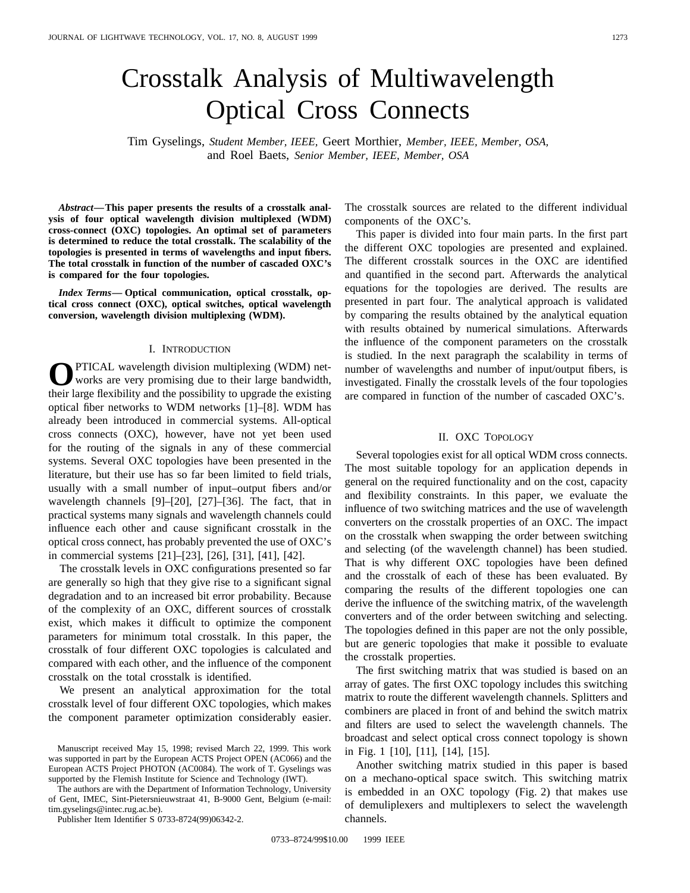# Crosstalk Analysis of Multiwavelength Optical Cross Connects

Tim Gyselings, *Student Member, IEEE,* Geert Morthier, *Member, IEEE, Member, OSA,* and Roel Baets, *Senior Member, IEEE, Member, OSA*

*Abstract—***This paper presents the results of a crosstalk analysis of four optical wavelength division multiplexed (WDM) cross-connect (OXC) topologies. An optimal set of parameters is determined to reduce the total crosstalk. The scalability of the topologies is presented in terms of wavelengths and input fibers. The total crosstalk in function of the number of cascaded OXC's is compared for the four topologies.**

*Index Terms—* **Optical communication, optical crosstalk, optical cross connect (OXC), optical switches, optical wavelength conversion, wavelength division multiplexing (WDM).**

#### I. INTRODUCTION

PTICAL wavelength division multiplexing (WDM) networks are very promising due to their large bandwidth, their large flexibility and the possibility to upgrade the existing optical fiber networks to WDM networks [1]–[8]. WDM has already been introduced in commercial systems. All-optical cross connects (OXC), however, have not yet been used for the routing of the signals in any of these commercial systems. Several OXC topologies have been presented in the literature, but their use has so far been limited to field trials, usually with a small number of input–output fibers and/or wavelength channels [9]–[20], [27]–[36]. The fact, that in practical systems many signals and wavelength channels could influence each other and cause significant crosstalk in the optical cross connect, has probably prevented the use of OXC's in commercial systems [21]–[23], [26], [31], [41], [42].

The crosstalk levels in OXC configurations presented so far are generally so high that they give rise to a significant signal degradation and to an increased bit error probability. Because of the complexity of an OXC, different sources of crosstalk exist, which makes it difficult to optimize the component parameters for minimum total crosstalk. In this paper, the crosstalk of four different OXC topologies is calculated and compared with each other, and the influence of the component crosstalk on the total crosstalk is identified.

We present an analytical approximation for the total crosstalk level of four different OXC topologies, which makes the component parameter optimization considerably easier.

The authors are with the Department of Information Technology, University of Gent, IMEC, Sint-Pietersnieuwstraat 41, B-9000 Gent, Belgium (e-mail: tim.gyselings@intec.rug.ac.be).

Publisher Item Identifier S 0733-8724(99)06342-2.

The crosstalk sources are related to the different individual components of the OXC's.

This paper is divided into four main parts. In the first part the different OXC topologies are presented and explained. The different crosstalk sources in the OXC are identified and quantified in the second part. Afterwards the analytical equations for the topologies are derived. The results are presented in part four. The analytical approach is validated by comparing the results obtained by the analytical equation with results obtained by numerical simulations. Afterwards the influence of the component parameters on the crosstalk is studied. In the next paragraph the scalability in terms of number of wavelengths and number of input/output fibers, is investigated. Finally the crosstalk levels of the four topologies are compared in function of the number of cascaded OXC's.

#### II. OXC TOPOLOGY

Several topologies exist for all optical WDM cross connects. The most suitable topology for an application depends in general on the required functionality and on the cost, capacity and flexibility constraints. In this paper, we evaluate the influence of two switching matrices and the use of wavelength converters on the crosstalk properties of an OXC. The impact on the crosstalk when swapping the order between switching and selecting (of the wavelength channel) has been studied. That is why different OXC topologies have been defined and the crosstalk of each of these has been evaluated. By comparing the results of the different topologies one can derive the influence of the switching matrix, of the wavelength converters and of the order between switching and selecting. The topologies defined in this paper are not the only possible, but are generic topologies that make it possible to evaluate the crosstalk properties.

The first switching matrix that was studied is based on an array of gates. The first OXC topology includes this switching matrix to route the different wavelength channels. Splitters and combiners are placed in front of and behind the switch matrix and filters are used to select the wavelength channels. The broadcast and select optical cross connect topology is shown in Fig. 1 [10], [11], [14], [15].

Another switching matrix studied in this paper is based on a mechano-optical space switch. This switching matrix is embedded in an OXC topology (Fig. 2) that makes use of demuliplexers and multiplexers to select the wavelength channels.

Manuscript received May 15, 1998; revised March 22, 1999. This work was supported in part by the European ACTS Project OPEN (AC066) and the European ACTS Project PHOTON (AC0084). The work of T. Gyselings was supported by the Flemish Institute for Science and Technology (IWT).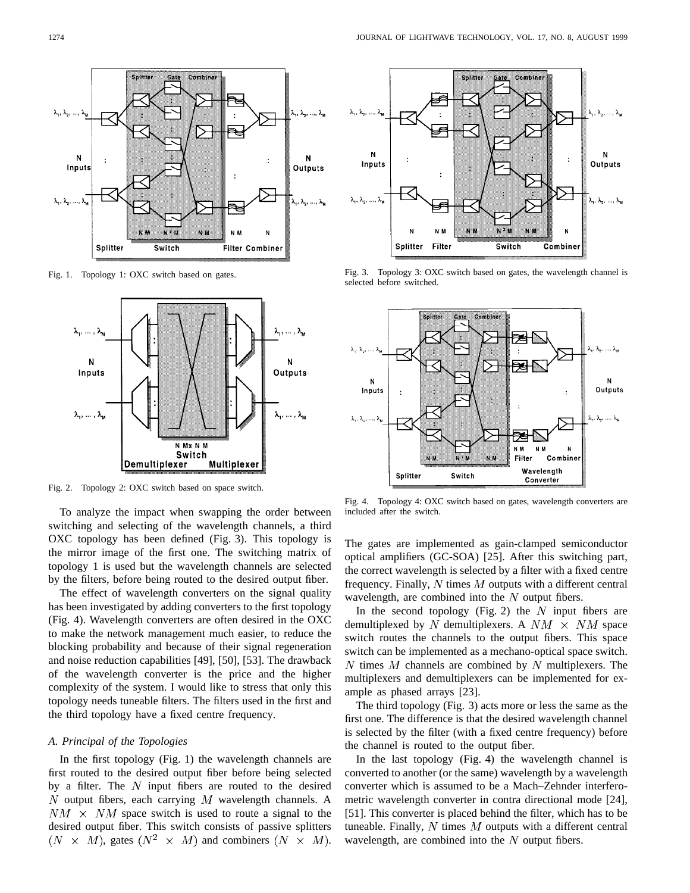

Fig. 1. Topology 1: OXC switch based on gates.



Fig. 2. Topology 2: OXC switch based on space switch.

To analyze the impact when swapping the order between switching and selecting of the wavelength channels, a third OXC topology has been defined (Fig. 3). This topology is the mirror image of the first one. The switching matrix of topology 1 is used but the wavelength channels are selected by the filters, before being routed to the desired output fiber.

The effect of wavelength converters on the signal quality has been investigated by adding converters to the first topology (Fig. 4). Wavelength converters are often desired in the OXC to make the network management much easier, to reduce the blocking probability and because of their signal regeneration and noise reduction capabilities [49], [50], [53]. The drawback of the wavelength converter is the price and the higher complexity of the system. I would like to stress that only this topology needs tuneable filters. The filters used in the first and the third topology have a fixed centre frequency.

#### *A. Principal of the Topologies*

In the first topology (Fig. 1) the wavelength channels are first routed to the desired output fiber before being selected by a filter. The  $N$  input fibers are routed to the desired  $N$  output fibers, each carrying  $M$  wavelength channels. A  $NM \times NM$  space switch is used to route a signal to the desired output fiber. This switch consists of passive splitters  $(N \times M)$ , gates  $(N^2 \times M)$  and combiners  $(N \times M)$ .



Fig. 3. Topology 3: OXC switch based on gates, the wavelength channel is selected before switched.



Fig. 4. Topology 4: OXC switch based on gates, wavelength converters are included after the switch.

The gates are implemented as gain-clamped semiconductor optical amplifiers (GC-SOA) [25]. After this switching part, the correct wavelength is selected by a filter with a fixed centre frequency. Finally,  $N$  times  $M$  outputs with a different central wavelength, are combined into the  $N$  output fibers.

In the second topology (Fig. 2) the  $N$  input fibers are demultiplexed by N demultiplexers. A  $NM \times NM$  space switch routes the channels to the output fibers. This space switch can be implemented as a mechano-optical space switch. N times  $M$  channels are combined by N multiplexers. The multiplexers and demultiplexers can be implemented for example as phased arrays [23].

The third topology (Fig. 3) acts more or less the same as the first one. The difference is that the desired wavelength channel is selected by the filter (with a fixed centre frequency) before the channel is routed to the output fiber.

In the last topology (Fig. 4) the wavelength channel is converted to another (or the same) wavelength by a wavelength converter which is assumed to be a Mach–Zehnder interferometric wavelength converter in contra directional mode [24], [51]. This converter is placed behind the filter, which has to be tuneable. Finally,  $N$  times  $M$  outputs with a different central wavelength, are combined into the  $N$  output fibers.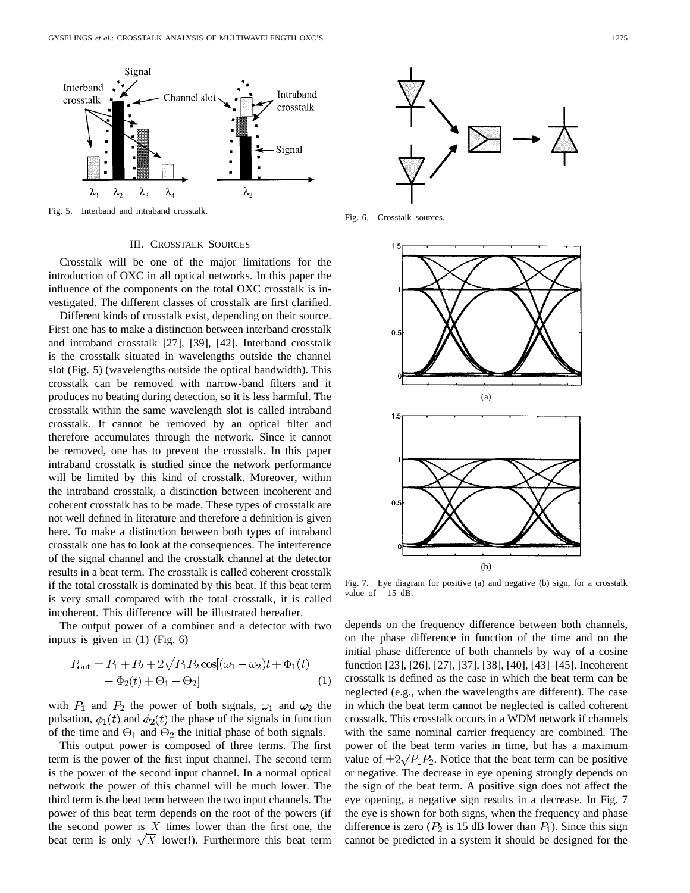

Fig. 5. Interband and intraband crosstalk.

## III. CROSSTALK SOURCES

Crosstalk will be one of the major limitations for the introduction of OXC in all optical networks. In this paper the influence of the components on the total OXC crosstalk is investigated. The different classes of crosstalk are first clarified.

Different kinds of crosstalk exist, depending on their source. First one has to make a distinction between interband crosstalk and intraband crosstalk [27], [39], [42]. Interband crosstalk is the crosstalk situated in wavelengths outside the channel slot (Fig. 5) (wavelengths outside the optical bandwidth). This crosstalk can be removed with narrow-band filters and it produces no beating during detection, so it is less harmful. The crosstalk within the same wavelength slot is called intraband crosstalk. It cannot be removed by an optical filter and therefore accumulates through the network. Since it cannot be removed, one has to prevent the crosstalk. In this paper intraband crosstalk is studied since the network performance will be limited by this kind of crosstalk. Moreover, within the intraband crosstalk, a distinction between incoherent and coherent crosstalk has to be made. These types of crosstalk are not well defined in literature and therefore a definition is given here. To make a distinction between both types of intraband crosstalk one has to look at the consequences. The interference of the signal channel and the crosstalk channel at the detector results in a beat term. The crosstalk is called coherent crosstalk if the total crosstalk is dominated by this beat. If this beat term is very small compared with the total crosstalk, it is called incoherent. This difference will be illustrated hereafter.

The output power of a combiner and a detector with two inputs is given in (1) (Fig. 6)

$$
P_{\text{out}} = P_1 + P_2 + 2\sqrt{P_1 P_2} \cos[(\omega_1 - \omega_2)t + \Phi_1(t) - \Phi_2(t) + \Theta_1 - \Theta_2]
$$
\n(1)

with  $P_1$  and  $P_2$  the power of both signals,  $\omega_1$  and  $\omega_2$  the pulsation,  $\phi_1(t)$  and  $\phi_2(t)$  the phase of the signals in function of the time and  $\Theta_1$  and  $\Theta_2$  the initial phase of both signals.

This output power is composed of three terms. The first term is the power of the first input channel. The second term is the power of the second input channel. In a normal optical network the power of this channel will be much lower. The third term is the beat term between the two input channels. The power of this beat term depends on the root of the powers (if the second power is  $X$  times lower than the first one, the beat term is only  $\sqrt{X}$  lower!). Furthermore this beat term



Fig. 6. Crosstalk sources.



Fig. 7. Eye diagram for positive (a) and negative (b) sign, for a crosstalk Fig. 7. Eye diagr<br>value of  $-15$  dB.

depends on the frequency difference between both channels, on the phase difference in function of the time and on the initial phase difference of both channels by way of a cosine function [23], [26], [27], [37], [38], [40], [43]–[45]. Incoherent crosstalk is defined as the case in which the beat term can be neglected (e.g., when the wavelengths are different). The case in which the beat term cannot be neglected is called coherent crosstalk. This crosstalk occurs in a WDM network if channels with the same nominal carrier frequency are combined. The power of the beat term varies in time, but has a maximum value of  $\pm 2\sqrt{P_1P_2}$ . Notice that the beat term can be positive or negative. The decrease in eye opening strongly depends on the sign of the beat term. A positive sign does not affect the eye opening, a negative sign results in a decrease. In Fig. 7 the eye is shown for both signs, when the frequency and phase difference is zero ( $P_2$  is 15 dB lower than  $P_1$ ). Since this sign cannot be predicted in a system it should be designed for the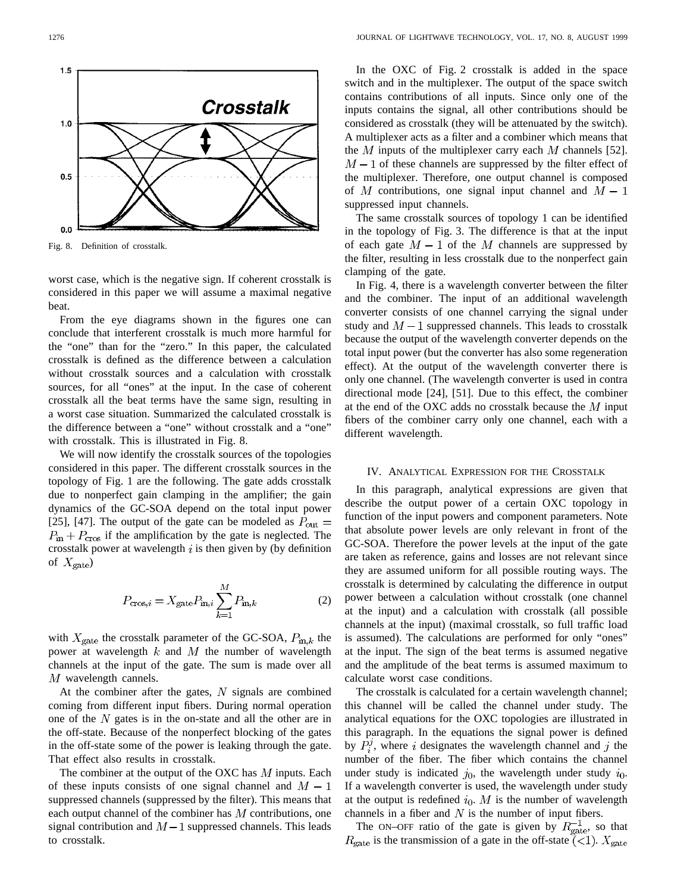

Fig. 8. Definition of crosstalk.

worst case, which is the negative sign. If coherent crosstalk is considered in this paper we will assume a maximal negative beat.

From the eye diagrams shown in the figures one can conclude that interferent crosstalk is much more harmful for the "one" than for the "zero." In this paper, the calculated crosstalk is defined as the difference between a calculation without crosstalk sources and a calculation with crosstalk sources, for all "ones" at the input. In the case of coherent crosstalk all the beat terms have the same sign, resulting in a worst case situation. Summarized the calculated crosstalk is the difference between a "one" without crosstalk and a "one" with crosstalk. This is illustrated in Fig. 8.

We will now identify the crosstalk sources of the topologies considered in this paper. The different crosstalk sources in the topology of Fig. 1 are the following. The gate adds crosstalk due to nonperfect gain clamping in the amplifier; the gain dynamics of the GC-SOA depend on the total input power [25], [47]. The output of the gate can be modeled as  $P_{\text{out}} =$  $P_{\text{in}} + P_{\text{cros}}$  if the amplification by the gate is neglected. The crosstalk power at wavelength  $i$  is then given by (by definition of  $X_{\text{gate}}$ 

$$
P_{\text{cross},i} = X_{\text{gate}} P_{\text{in},i} \sum_{k=1}^{M} P_{\text{in},k} \tag{2}
$$

with  $X_{\text{gate}}$  the crosstalk parameter of the GC-SOA,  $P_{\text{in},k}$  the power at wavelength  $k$  and  $M$  the number of wavelength channels at the input of the gate. The sum is made over all  $M$  wavelength cannels.

At the combiner after the gates,  $N$  signals are combined coming from different input fibers. During normal operation one of the  $N$  gates is in the on-state and all the other are in the off-state. Because of the nonperfect blocking of the gates in the off-state some of the power is leaking through the gate. That effect also results in crosstalk.

The combiner at the output of the OXC has  $M$  inputs. Each of these inputs consists of one signal channel and  $M - 1$ suppressed channels (suppressed by the filter). This means that each output channel of the combiner has  $M$  contributions, one signal contribution and  $M-1$  suppressed channels. This leads to crosstalk.

In the OXC of Fig. 2 crosstalk is added in the space switch and in the multiplexer. The output of the space switch contains contributions of all inputs. Since only one of the inputs contains the signal, all other contributions should be considered as crosstalk (they will be attenuated by the switch). A multiplexer acts as a filter and a combiner which means that the M inputs of the multiplexer carry each M channels [52].  $M-1$  of these channels are suppressed by the filter effect of the multiplexer. Therefore, one output channel is composed of M contributions, one signal input channel and  $M - 1$ suppressed input channels.

The same crosstalk sources of topology 1 can be identified in the topology of Fig. 3. The difference is that at the input of each gate  $M-1$  of the M channels are suppressed by the filter, resulting in less crosstalk due to the nonperfect gain clamping of the gate.

In Fig. 4, there is a wavelength converter between the filter and the combiner. The input of an additional wavelength converter consists of one channel carrying the signal under study and  $M-1$  suppressed channels. This leads to crosstalk because the output of the wavelength converter depends on the total input power (but the converter has also some regeneration effect). At the output of the wavelength converter there is only one channel. (The wavelength converter is used in contra directional mode [24], [51]. Due to this effect, the combiner at the end of the OXC adds no crosstalk because the  $M$  input fibers of the combiner carry only one channel, each with a different wavelength.

## IV. ANALYTICAL EXPRESSION FOR THE CROSSTALK

In this paragraph, analytical expressions are given that describe the output power of a certain OXC topology in function of the input powers and component parameters. Note that absolute power levels are only relevant in front of the GC-SOA. Therefore the power levels at the input of the gate are taken as reference, gains and losses are not relevant since they are assumed uniform for all possible routing ways. The crosstalk is determined by calculating the difference in output power between a calculation without crosstalk (one channel at the input) and a calculation with crosstalk (all possible channels at the input) (maximal crosstalk, so full traffic load is assumed). The calculations are performed for only "ones" at the input. The sign of the beat terms is assumed negative and the amplitude of the beat terms is assumed maximum to calculate worst case conditions.

The crosstalk is calculated for a certain wavelength channel; this channel will be called the channel under study. The analytical equations for the OXC topologies are illustrated in this paragraph. In the equations the signal power is defined by  $P_i^j$ , where i designates the wavelength channel and j the number of the fiber. The fiber which contains the channel under study is indicated  $j_0$ , the wavelength under study  $i_0$ . If a wavelength converter is used, the wavelength under study at the output is redefined  $i_0$ . M is the number of wavelength channels in a fiber and  $N$  is the number of input fibers.

The ON–OFF ratio of the gate is given by  $R_{\text{gate}}^{-1}$ , so that  $R_{\text{gate}}$  is the transmission of a gate in the off-state (<1).  $X_{\text{gate}}$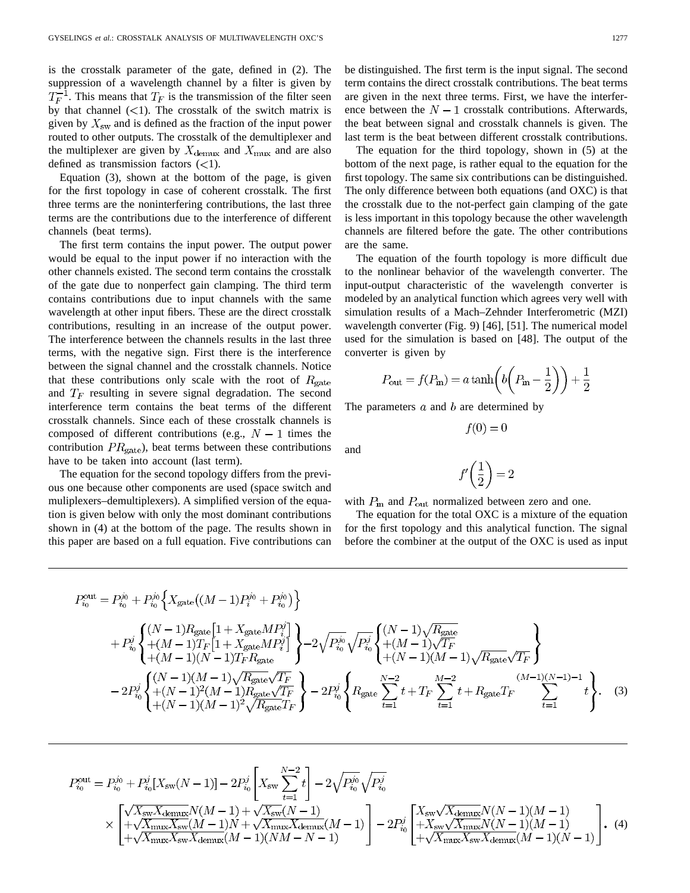is the crosstalk parameter of the gate, defined in (2). The suppression of a wavelength channel by a filter is given by  $T_F^{-1}$ . This means that  $T_F$  is the transmission of the filter seen by that channel  $(<1)$ . The crosstalk of the switch matrix is given by  $X_{\rm sw}$  and is defined as the fraction of the input power routed to other outputs. The crosstalk of the demultiplexer and the multiplexer are given by  $X_{\text{demux}}$  and  $X_{\text{max}}$  and are also defined as transmission factors  $(<1)$ .

Equation (3), shown at the bottom of the page, is given for the first topology in case of coherent crosstalk. The first three terms are the noninterfering contributions, the last three terms are the contributions due to the interference of different channels (beat terms).

The first term contains the input power. The output power would be equal to the input power if no interaction with the other channels existed. The second term contains the crosstalk of the gate due to nonperfect gain clamping. The third term contains contributions due to input channels with the same wavelength at other input fibers. These are the direct crosstalk contributions, resulting in an increase of the output power. The interference between the channels results in the last three terms, with the negative sign. First there is the interference between the signal channel and the crosstalk channels. Notice that these contributions only scale with the root of  $R_{gate}$ and  $T_F$  resulting in severe signal degradation. The second interference term contains the beat terms of the different crosstalk channels. Since each of these crosstalk channels is composed of different contributions (e.g.,  $N-1$  times the contribution  $PR_{\text{gate}}$ ), beat terms between these contributions have to be taken into account (last term).

The equation for the second topology differs from the previous one because other components are used (space switch and muliplexers–demultiplexers). A simplified version of the equation is given below with only the most dominant contributions shown in (4) at the bottom of the page. The results shown in this paper are based on a full equation. Five contributions can be distinguished. The first term is the input signal. The second term contains the direct crosstalk contributions. The beat terms are given in the next three terms. First, we have the interference between the  $N-1$  crosstalk contributions. Afterwards, the beat between signal and crosstalk channels is given. The last term is the beat between different crosstalk contributions.

The equation for the third topology, shown in (5) at the bottom of the next page, is rather equal to the equation for the first topology. The same six contributions can be distinguished. The only difference between both equations (and OXC) is that the crosstalk due to the not-perfect gain clamping of the gate is less important in this topology because the other wavelength channels are filtered before the gate. The other contributions are the same.

The equation of the fourth topology is more difficult due to the nonlinear behavior of the wavelength converter. The input-output characteristic of the wavelength converter is modeled by an analytical function which agrees very well with simulation results of a Mach–Zehnder Interferometric (MZI) wavelength converter (Fig. 9) [46], [51]. The numerical model used for the simulation is based on [48]. The output of the converter is given by

$$
P_{\text{out}} = f(P_{\text{in}}) = a \tanh\left(b\left(P_{\text{in}} - \frac{1}{2}\right)\right) + \frac{1}{2}
$$

The parameters  $a$  and  $b$  are determined by

 $f(0) = 0$ 

$$
f'\!\left(\frac{1}{2}\right) = 2
$$

with  $P_{\text{in}}$  and  $P_{\text{out}}$  normalized between zero and one.

The equation for the total OXC is a mixture of the equation for the first topology and this analytical function. The signal before the combiner at the output of the OXC is used as input

$$
P_{i_0}^{\text{out}} = P_{i_0}^{j_0} + P_{i_0}^{j_0} \Big\{ X_{\text{gate}} \big( (M-1) P_i^{j_0} + P_{i_0}^{j_0} \big) \Big\} + P_{i_0}^j \Big\{ \begin{aligned} &+ (M-1) R_{\text{gate}} \big[ 1 + X_{\text{gate}} M P_i^j \big] \\ &+ (M-1) T_F \big[ 1 + X_{\text{gate}} M P_i^j \big] \\ &+ (M-1) (N-1) T_F R_{\text{gate}} \Big\{ \begin{aligned} &+ (M-1) (N-1) T_F R_{\text{gate}} \\ &+ (M-1) (N-1) T_F R_{\text{gate}} \end{aligned} \Big\} - 2 \sqrt{P_{i_0}^{j_0}} \sqrt{P_{i_0}^j} \Big\{ \begin{aligned} &+ (M-1) \sqrt{R_{\text{gate}}} \\ &+ (N-1) (M-1) \sqrt{R_{\text{gate}}} \sqrt{T_F} \\ &+ (N-1) (M-1) \sqrt{R_{\text{gate}}} \sqrt{T_F} \\ &+ (N-1) (M-1)^2 \sqrt{R_{\text{gate}}} T_F \Big\} - 2 P_{i_0}^j \Big\{ R_{\text{gate}} \sum_{t=1}^{N-2} t + T_F \sum_{t=1}^{M-2} t + R_{\text{gate}} T_F \sum_{t=1}^{M-1} t \Big\} . \end{aligned} \tag{3}
$$

and

$$
P_{i_0}^{\text{out}} = P_{i_0}^{j_0} + P_{i_0}^j [X_{\text{sw}}(N-1)] - 2P_{i_0}^j \left[ X_{\text{sw}} \sum_{t=1}^{N-2} t \right] - 2\sqrt{P_{i_0}^{j_0}} \sqrt{P_{i_0}^j}
$$
  
 
$$
\times \left[ \frac{\sqrt{X_{\text{sw}} X_{\text{demux}}} N(M-1) + \sqrt{X_{\text{sw}}(N-1)}}{+\sqrt{X_{\text{max}} X_{\text{sw}}}(M-1)N + \sqrt{X_{\text{max}} X_{\text{demux}}}(M-1)} \right] - 2P_{i_0}^j \left[ \frac{X_{\text{sw}} \sqrt{X_{\text{demux}}} N(N-1)(M-1)}{+X_{\text{sw}} \sqrt{X_{\text{max}}} N(N-1)(M-1)} \right].
$$
 (4)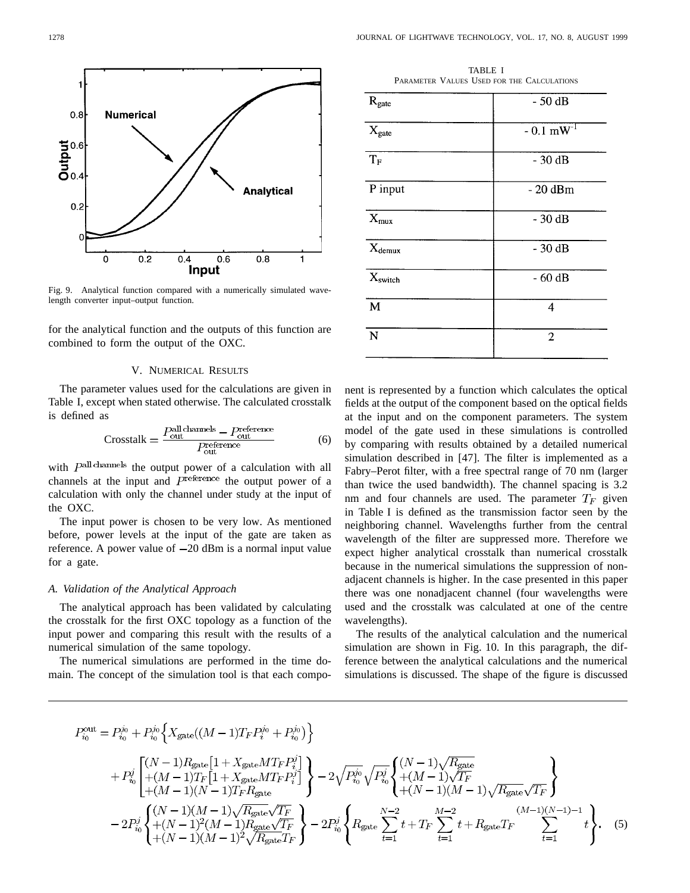

Fig. 9. Analytical function compared with a numerically simulated wavelength converter input–output function.

for the analytical function and the outputs of this function are combined to form the output of the OXC.

### V. NUMERICAL RESULTS

The parameter values used for the calculations are given in Table I, except when stated otherwise. The calculated crosstalk is defined as

$$
Crosstalk = \frac{P_{out}^{all channels} - P_{out}^{reference}}{P_{out}^{reference}}
$$
 (6)

with  $P<sup>all channels</sup>$  the output power of a calculation with all channels at the input and  $P<sup>reference</sup>$  the output power of a calculation with only the channel under study at the input of the OXC.

The input power is chosen to be very low. As mentioned before, power levels at the input of the gate are taken as reference. A power value of  $-20$  dBm is a normal input value for a gate.

## *A. Validation of the Analytical Approach*

The analytical approach has been validated by calculating the crosstalk for the first OXC topology as a function of the input power and comparing this result with the results of a numerical simulation of the same topology.

The numerical simulations are performed in the time domain. The concept of the simulation tool is that each compo-

TABLE I PARAMETER VALUES USED FOR THE CALCULATIONS

| $-50dB$<br>$R_{gate}$<br>$-0.1$ mW <sup>-1</sup><br>$X_{gate}$<br>$T_F$<br>$-30dB$<br>P input<br>$-20$ dBm<br>$X_{\text{mux}}$<br>$-30dB$<br>$X_{demux}$<br>$-30dB$<br>Xswitch<br>$-60dB$<br>$\mathbf{M}$<br>4<br>$\overline{N}$<br>$\overline{2}$ |  |
|----------------------------------------------------------------------------------------------------------------------------------------------------------------------------------------------------------------------------------------------------|--|
|                                                                                                                                                                                                                                                    |  |
|                                                                                                                                                                                                                                                    |  |
|                                                                                                                                                                                                                                                    |  |
|                                                                                                                                                                                                                                                    |  |
|                                                                                                                                                                                                                                                    |  |
|                                                                                                                                                                                                                                                    |  |
|                                                                                                                                                                                                                                                    |  |
|                                                                                                                                                                                                                                                    |  |
|                                                                                                                                                                                                                                                    |  |

nent is represented by a function which calculates the optical fields at the output of the component based on the optical fields at the input and on the component parameters. The system model of the gate used in these simulations is controlled by comparing with results obtained by a detailed numerical simulation described in [47]. The filter is implemented as a Fabry–Perot filter, with a free spectral range of 70 nm (larger than twice the used bandwidth). The channel spacing is 3.2 nm and four channels are used. The parameter  $T_F$  given in Table I is defined as the transmission factor seen by the neighboring channel. Wavelengths further from the central wavelength of the filter are suppressed more. Therefore we expect higher analytical crosstalk than numerical crosstalk because in the numerical simulations the suppression of nonadjacent channels is higher. In the case presented in this paper there was one nonadjacent channel (four wavelengths were used and the crosstalk was calculated at one of the centre wavelengths).

The results of the analytical calculation and the numerical simulation are shown in Fig. 10. In this paragraph, the difference between the analytical calculations and the numerical simulations is discussed. The shape of the figure is discussed

$$
P_{i_0}^{\text{out}} = P_{i_0}^{j_0} + P_{i_0}^{j_0} \left\{ X_{\text{gate}}((M-1)T_F P_i^{j_0} + P_{i_0}^{j_0}) \right\}
$$
  
+ 
$$
P_{i_0}^j \left[ \frac{(N-1)R_{\text{gate}}[1 + X_{\text{gate}}MT_F P_i^j]}{+(M-1)T_F[1 + X_{\text{gate}}MT_F P_i^j]} \right\} - 2\sqrt{P_{i_0}^{j_0}} \sqrt{P_{i_0}^j} \left\{ \frac{(N-1)\sqrt{R_{\text{gate}}}}{+(M-1)(M-1)\sqrt{T_F}} \right\}
$$
  
- 
$$
2P_{i_0}^j \left\{ \frac{(N-1)(M-1)\sqrt{R_{\text{gate}}\sqrt{T_F}}}{+(N-1)^2(M-1)R_{\text{gate}}\sqrt{T_F}} \right\} - 2P_{i_0}^j \left\{ R_{\text{gate}} \sum_{t=1}^{N-2} t + T_F \sum_{t=1}^{M-2} t + R_{\text{gate}} T_F \sum_{t=1}^{(M-1)(N-1)-1} t \right\}.
$$
 (5)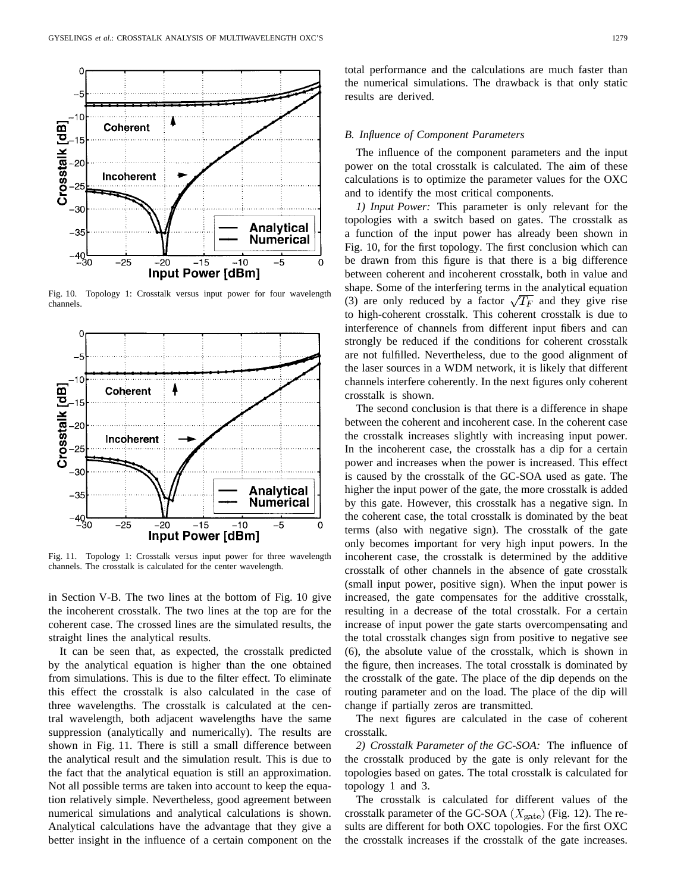

Fig. 10. Topology 1: Crosstalk versus input power for four wavelength channels.



Fig. 11. Topology 1: Crosstalk versus input power for three wavelength channels. The crosstalk is calculated for the center wavelength.

in Section V-B. The two lines at the bottom of Fig. 10 give the incoherent crosstalk. The two lines at the top are for the coherent case. The crossed lines are the simulated results, the straight lines the analytical results.

It can be seen that, as expected, the crosstalk predicted by the analytical equation is higher than the one obtained from simulations. This is due to the filter effect. To eliminate this effect the crosstalk is also calculated in the case of three wavelengths. The crosstalk is calculated at the central wavelength, both adjacent wavelengths have the same suppression (analytically and numerically). The results are shown in Fig. 11. There is still a small difference between the analytical result and the simulation result. This is due to the fact that the analytical equation is still an approximation. Not all possible terms are taken into account to keep the equation relatively simple. Nevertheless, good agreement between numerical simulations and analytical calculations is shown. Analytical calculations have the advantage that they give a better insight in the influence of a certain component on the total performance and the calculations are much faster than the numerical simulations. The drawback is that only static results are derived.

# *B. Influence of Component Parameters*

The influence of the component parameters and the input power on the total crosstalk is calculated. The aim of these calculations is to optimize the parameter values for the OXC and to identify the most critical components.

*1) Input Power:* This parameter is only relevant for the topologies with a switch based on gates. The crosstalk as a function of the input power has already been shown in Fig. 10, for the first topology. The first conclusion which can be drawn from this figure is that there is a big difference between coherent and incoherent crosstalk, both in value and shape. Some of the interfering terms in the analytical equation (3) are only reduced by a factor  $\sqrt{T_F}$  and they give rise to high-coherent crosstalk. This coherent crosstalk is due to interference of channels from different input fibers and can strongly be reduced if the conditions for coherent crosstalk are not fulfilled. Nevertheless, due to the good alignment of the laser sources in a WDM network, it is likely that different channels interfere coherently. In the next figures only coherent crosstalk is shown.

The second conclusion is that there is a difference in shape between the coherent and incoherent case. In the coherent case the crosstalk increases slightly with increasing input power. In the incoherent case, the crosstalk has a dip for a certain power and increases when the power is increased. This effect is caused by the crosstalk of the GC-SOA used as gate. The higher the input power of the gate, the more crosstalk is added by this gate. However, this crosstalk has a negative sign. In the coherent case, the total crosstalk is dominated by the beat terms (also with negative sign). The crosstalk of the gate only becomes important for very high input powers. In the incoherent case, the crosstalk is determined by the additive crosstalk of other channels in the absence of gate crosstalk (small input power, positive sign). When the input power is increased, the gate compensates for the additive crosstalk, resulting in a decrease of the total crosstalk. For a certain increase of input power the gate starts overcompensating and the total crosstalk changes sign from positive to negative see (6), the absolute value of the crosstalk, which is shown in the figure, then increases. The total crosstalk is dominated by the crosstalk of the gate. The place of the dip depends on the routing parameter and on the load. The place of the dip will change if partially zeros are transmitted.

The next figures are calculated in the case of coherent crosstalk.

*2) Crosstalk Parameter of the GC-SOA:* The influence of the crosstalk produced by the gate is only relevant for the topologies based on gates. The total crosstalk is calculated for topology 1 and 3.

The crosstalk is calculated for different values of the crosstalk parameter of the GC-SOA  $(X_{\text{gate}})$  (Fig. 12). The results are different for both OXC topologies. For the first OXC the crosstalk increases if the crosstalk of the gate increases.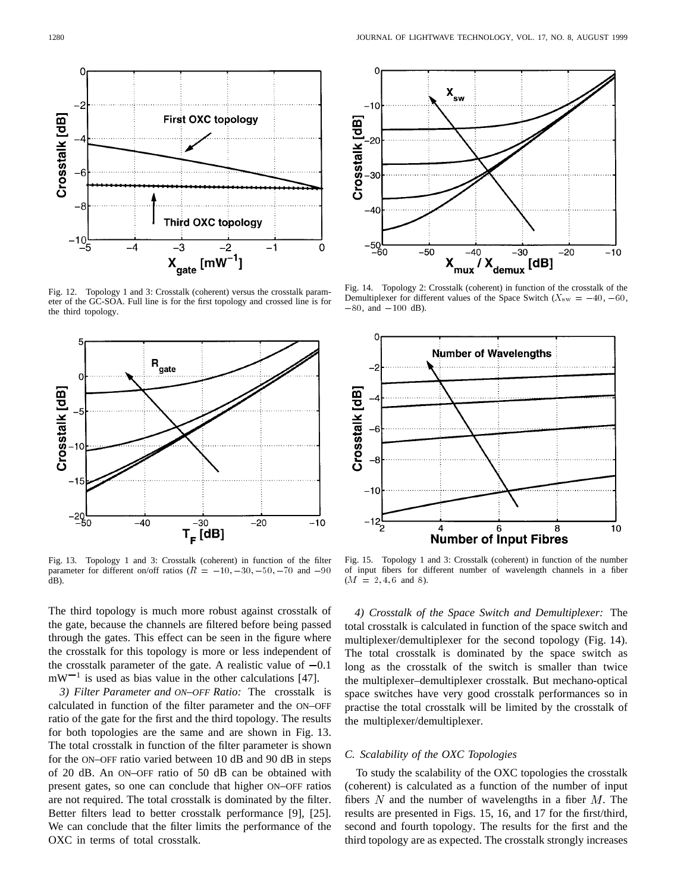

Fig. 12. Topology 1 and 3: Crosstalk (coherent) versus the crosstalk parameter of the GC-SOA. Full line is for the first topology and crossed line is for the third topology.



Fig. 13. Topology 1 and 3: Crosstalk (coherent) in function of the filter **FLOPI**<br>Fig. 13. Topology 1 and 3: Crosstalk (coherent) in function of the filter<br>parameter for different on/off ratios ( $R = -10, -30, -50, -70$  and  $-90$ dB).

The third topology is much more robust against crosstalk of the gate, because the channels are filtered before being passed through the gates. This effect can be seen in the figure where the crosstalk for this topology is more or less independent of the crosstalk parameter of the gate. A realistic value of  $-0.1$  $mW^{-1}$  is used as bias value in the other calculations [47].

*3) Filter Parameter and ON–OFF Ratio:* The crosstalk is calculated in function of the filter parameter and the ON–OFF ratio of the gate for the first and the third topology. The results for both topologies are the same and are shown in Fig. 13. The total crosstalk in function of the filter parameter is shown for the ON–OFF ratio varied between 10 dB and 90 dB in steps of 20 dB. An ON–OFF ratio of 50 dB can be obtained with present gates, so one can conclude that higher ON–OFF ratios are not required. The total crosstalk is dominated by the filter. Better filters lead to better crosstalk performance [9], [25]. We can conclude that the filter limits the performance of the OXC in terms of total crosstalk.



Fig. 14. Topology 2: Crosstalk (coherent) in function of the crosstalk of the Fig. 14. Topology 2:<br>Demultiplexer for diff<br> $-80$ , and  $-100$  dB).



Fig. 15. Topology 1 and 3: Crosstalk (coherent) in function of the number of input fibers for different number of wavelength channels in a fiber  $(M = 2, 4, 6$  and 8).

*4) Crosstalk of the Space Switch and Demultiplexer:* The total crosstalk is calculated in function of the space switch and multiplexer/demultiplexer for the second topology (Fig. 14). The total crosstalk is dominated by the space switch as long as the crosstalk of the switch is smaller than twice the multiplexer–demultiplexer crosstalk. But mechano-optical space switches have very good crosstalk performances so in practise the total crosstalk will be limited by the crosstalk of the multiplexer/demultiplexer.

# *C. Scalability of the OXC Topologies*

To study the scalability of the OXC topologies the crosstalk (coherent) is calculated as a function of the number of input fibers  $N$  and the number of wavelengths in a fiber  $M$ . The results are presented in Figs. 15, 16, and 17 for the first/third, second and fourth topology. The results for the first and the third topology are as expected. The crosstalk strongly increases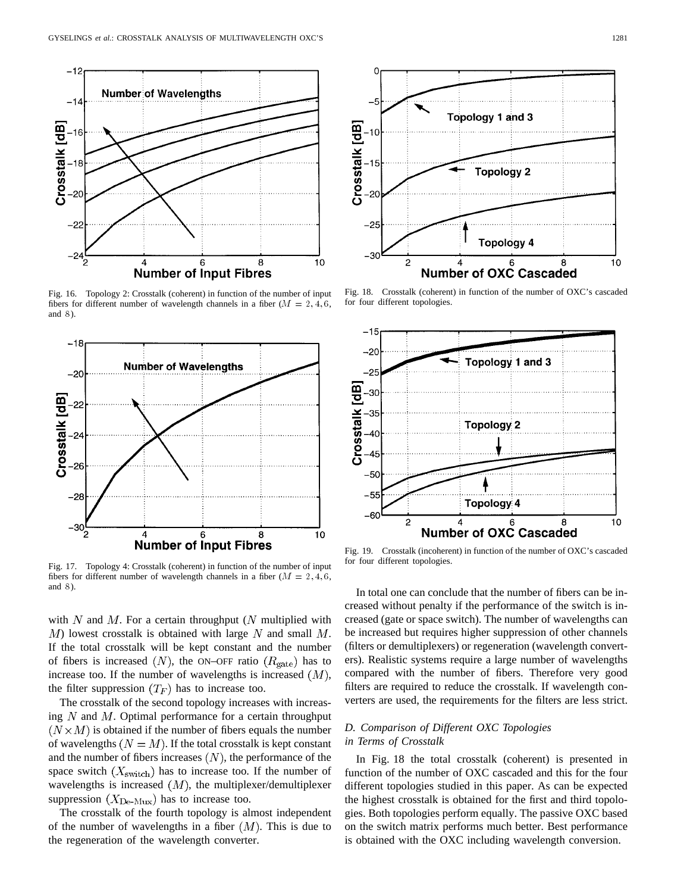

Fig. 16. Topology 2: Crosstalk (coherent) in function of the number of input fibers for different number of wavelength channels in a fiber  $(M = 2, 4, 6, 4)$ and 8).



Fig. 17. Topology 4: Crosstalk (coherent) in function of the number of input fibers for different number of wavelength channels in a fiber  $(M = 2, 4, 6, 4)$ and 8).

with  $N$  and  $M$ . For a certain throughput ( $N$  multiplied with  $M$ ) lowest crosstalk is obtained with large N and small  $M$ . If the total crosstalk will be kept constant and the number of fibers is increased  $(N)$ , the ON–OFF ratio  $(R_{\text{gate}})$  has to increase too. If the number of wavelengths is increased  $(M)$ , the filter suppression  $(T_F)$  has to increase too.

The crosstalk of the second topology increases with increasing  $N$  and  $M$ . Optimal performance for a certain throughput  $(N \times M)$  is obtained if the number of fibers equals the number of wavelengths  $(N = M)$ . If the total crosstalk is kept constant and the number of fibers increases  $(N)$ , the performance of the space switch  $(X_{switch})$  has to increase too. If the number of wavelengths is increased  $(M)$ , the multiplexer/demultiplexer suppression  $(X_{De-Mux})$  has to increase too.

The crosstalk of the fourth topology is almost independent of the number of wavelengths in a fiber  $(M)$ . This is due to the regeneration of the wavelength converter.



Fig. 18. Crosstalk (coherent) in function of the number of OXC's cascaded for four different topologies.



Fig. 19. Crosstalk (incoherent) in function of the number of OXC's cascaded for four different topologies.

In total one can conclude that the number of fibers can be increased without penalty if the performance of the switch is increased (gate or space switch). The number of wavelengths can be increased but requires higher suppression of other channels (filters or demultiplexers) or regeneration (wavelength converters). Realistic systems require a large number of wavelengths compared with the number of fibers. Therefore very good filters are required to reduce the crosstalk. If wavelength converters are used, the requirements for the filters are less strict.

# *D. Comparison of Different OXC Topologies in Terms of Crosstalk*

In Fig. 18 the total crosstalk (coherent) is presented in function of the number of OXC cascaded and this for the four different topologies studied in this paper. As can be expected the highest crosstalk is obtained for the first and third topologies. Both topologies perform equally. The passive OXC based on the switch matrix performs much better. Best performance is obtained with the OXC including wavelength conversion.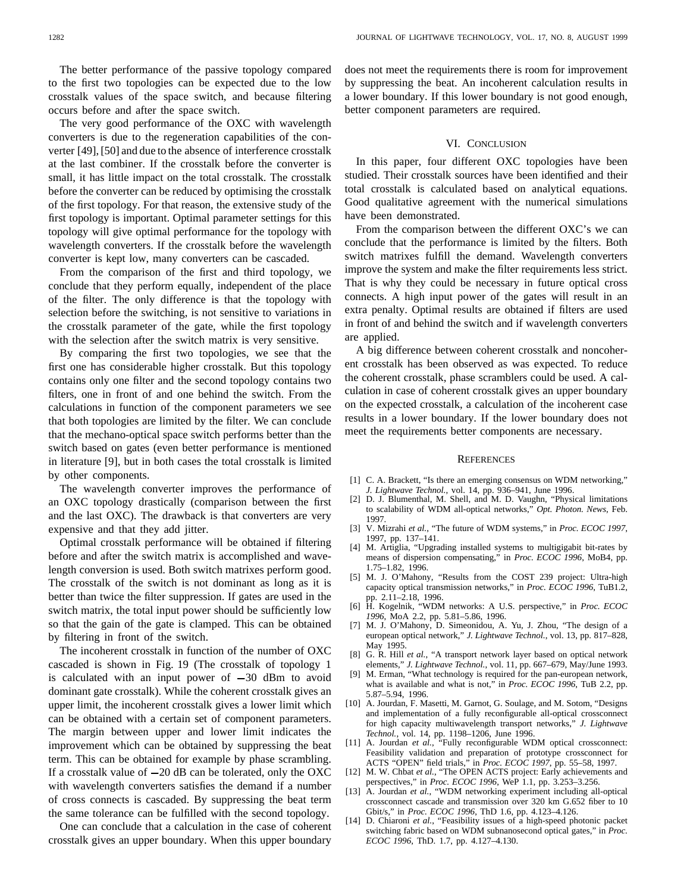The better performance of the passive topology compared to the first two topologies can be expected due to the low crosstalk values of the space switch, and because filtering occurs before and after the space switch.

The very good performance of the OXC with wavelength converters is due to the regeneration capabilities of the converter [49], [50] and due to the absence of interference crosstalk at the last combiner. If the crosstalk before the converter is small, it has little impact on the total crosstalk. The crosstalk before the converter can be reduced by optimising the crosstalk of the first topology. For that reason, the extensive study of the first topology is important. Optimal parameter settings for this topology will give optimal performance for the topology with wavelength converters. If the crosstalk before the wavelength converter is kept low, many converters can be cascaded.

From the comparison of the first and third topology, we conclude that they perform equally, independent of the place of the filter. The only difference is that the topology with selection before the switching, is not sensitive to variations in the crosstalk parameter of the gate, while the first topology with the selection after the switch matrix is very sensitive.

By comparing the first two topologies, we see that the first one has considerable higher crosstalk. But this topology contains only one filter and the second topology contains two filters, one in front of and one behind the switch. From the calculations in function of the component parameters we see that both topologies are limited by the filter. We can conclude that the mechano-optical space switch performs better than the switch based on gates (even better performance is mentioned in literature [9], but in both cases the total crosstalk is limited by other components.

The wavelength converter improves the performance of an OXC topology drastically (comparison between the first and the last OXC). The drawback is that converters are very expensive and that they add jitter.

Optimal crosstalk performance will be obtained if filtering before and after the switch matrix is accomplished and wavelength conversion is used. Both switch matrixes perform good. The crosstalk of the switch is not dominant as long as it is better than twice the filter suppression. If gates are used in the switch matrix, the total input power should be sufficiently low so that the gain of the gate is clamped. This can be obtained by filtering in front of the switch.

The incoherent crosstalk in function of the number of OXC cascaded is shown in Fig. 19 (The crosstalk of topology 1 is calculated with an input power of  $-30$  dBm to avoid dominant gate crosstalk). While the coherent crosstalk gives an upper limit, the incoherent crosstalk gives a lower limit which can be obtained with a certain set of component parameters. The margin between upper and lower limit indicates the improvement which can be obtained by suppressing the beat term. This can be obtained for example by phase scrambling. If a crosstalk value of  $-20$  dB can be tolerated, only the OXC with wavelength converters satisfies the demand if a number of cross connects is cascaded. By suppressing the beat term the same tolerance can be fulfilled with the second topology.

One can conclude that a calculation in the case of coherent crosstalk gives an upper boundary. When this upper boundary

does not meet the requirements there is room for improvement by suppressing the beat. An incoherent calculation results in a lower boundary. If this lower boundary is not good enough, better component parameters are required.

## VI. CONCLUSION

In this paper, four different OXC topologies have been studied. Their crosstalk sources have been identified and their total crosstalk is calculated based on analytical equations. Good qualitative agreement with the numerical simulations have been demonstrated.

From the comparison between the different OXC's we can conclude that the performance is limited by the filters. Both switch matrixes fulfill the demand. Wavelength converters improve the system and make the filter requirements less strict. That is why they could be necessary in future optical cross connects. A high input power of the gates will result in an extra penalty. Optimal results are obtained if filters are used in front of and behind the switch and if wavelength converters are applied.

A big difference between coherent crosstalk and noncoherent crosstalk has been observed as was expected. To reduce the coherent crosstalk, phase scramblers could be used. A calculation in case of coherent crosstalk gives an upper boundary on the expected crosstalk, a calculation of the incoherent case results in a lower boundary. If the lower boundary does not meet the requirements better components are necessary.

#### **REFERENCES**

- [1] C. A. Brackett, "Is there an emerging consensus on WDM networking," *J. Lightwave Technol.*, vol. 14, pp. 936–941, June 1996.
- [2] D. J. Blumenthal, M. Shell, and M. D. Vaughn, "Physical limitations to scalability of WDM all-optical networks," *Opt. Photon. News*, Feb. 1997.
- [3] V. Mizrahi *et al.*, "The future of WDM systems," in *Proc. ECOC 1997*, 1997, pp. 137–141.
- [4] M. Artiglia, "Upgrading installed systems to multigigabit bit-rates by means of dispersion compensating," in *Proc. ECOC 1996*, MoB4, pp. 1.75–1.82, 1996.
- [5] M. J. O'Mahony, "Results from the COST 239 project: Ultra-high capacity optical transmission networks," in *Proc. ECOC 1996*, TuB1.2, pp. 2.11–2.18, 1996.
- [6] H. Kogelnik, "WDM networks: A U.S. perspective," in *Proc. ECOC 1996*, MoA 2.2, pp. 5.81–5.86, 1996.
- [7] M. J. O'Mahony, D. Simeonidou, A. Yu, J. Zhou, "The design of a european optical network," *J. Lightwave Technol.*, vol. 13, pp. 817–828, May 1995.
- [8] G. R. Hill *et al.*, "A transport network layer based on optical network elements," *J. Lightwave Technol.*, vol. 11, pp. 667–679, May/June 1993.
- [9] M. Erman, "What technology is required for the pan-european network, what is available and what is not," in *Proc. ECOC 1996*, TuB 2.2, pp. 5.87–5.94, 1996.
- [10] A. Jourdan, F. Masetti, M. Garnot, G. Soulage, and M. Sotom, "Designs and implementation of a fully reconfigurable all-optical crossconnect for high capacity multiwavelength transport networks," *J. Lightwave Technol.*, vol. 14, pp. 1198–1206, June 1996.
- [11] A. Jourdan et al., "Fully reconfigurable WDM optical crossconnect: Feasibility validation and preparation of prototype crossconnect for ACTS "OPEN" field trials," in *Proc. ECOC 1997*, pp. 55–58, 1997.
- [12] M. W. Chbat et al., "The OPEN ACTS project: Early achievements and perspectives," in *Proc. ECOC 1996*, WeP 1.1, pp. 3.253–3.256.
- [13] A. Jourdan et al., "WDM networking experiment including all-optical crossconnect cascade and transmission over 320 km G.652 fiber to 10 Gbit/s," in *Proc. ECOC 1996*, ThD 1.6, pp. 4.123–4.126.
- [14] D. Chiaroni *et al.*, "Feasibility issues of a high-speed photonic packet switching fabric based on WDM subnanosecond optical gates," in *Proc. ECOC 1996*, ThD. 1.7, pp. 4.127–4.130.